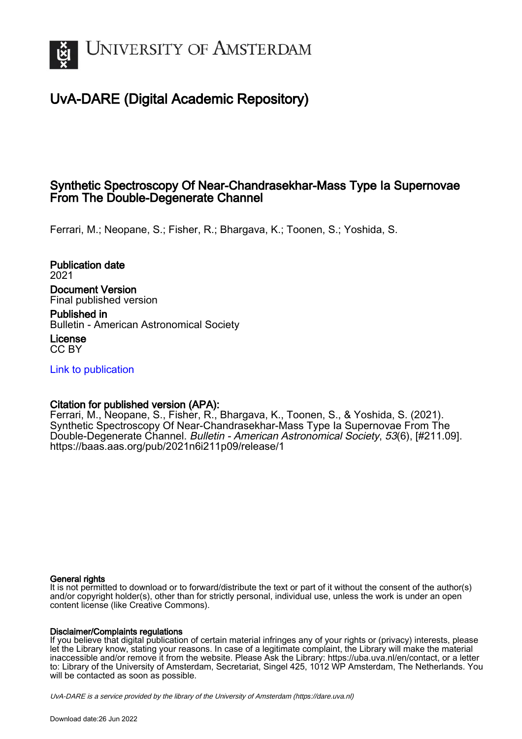

## UvA-DARE (Digital Academic Repository)

### Synthetic Spectroscopy Of Near-Chandrasekhar-Mass Type Ia Supernovae From The Double-Degenerate Channel

Ferrari, M.; Neopane, S.; Fisher, R.; Bhargava, K.; Toonen, S.; Yoshida, S.

Publication date 2021 Document Version Final published version

Published in Bulletin - American Astronomical Society

License CC BY

[Link to publication](https://dare.uva.nl/personal/pure/en/publications/synthetic-spectroscopy-of-nearchandrasekharmass-type-ia-supernovae-from-the-doubledegenerate-channel(9984807b-b606-4f2d-9788-b3bb81c53697).html)

#### Citation for published version (APA):

Ferrari, M., Neopane, S., Fisher, R., Bhargava, K., Toonen, S., & Yoshida, S. (2021). Synthetic Spectroscopy Of Near-Chandrasekhar-Mass Type Ia Supernovae From The Double-Degenerate Channel. Bulletin - American Astronomical Society, 53(6), [#211.09]. <https://baas.aas.org/pub/2021n6i211p09/release/1>

#### General rights

It is not permitted to download or to forward/distribute the text or part of it without the consent of the author(s) and/or copyright holder(s), other than for strictly personal, individual use, unless the work is under an open content license (like Creative Commons).

#### Disclaimer/Complaints regulations

If you believe that digital publication of certain material infringes any of your rights or (privacy) interests, please let the Library know, stating your reasons. In case of a legitimate complaint, the Library will make the material inaccessible and/or remove it from the website. Please Ask the Library: https://uba.uva.nl/en/contact, or a letter to: Library of the University of Amsterdam, Secretariat, Singel 425, 1012 WP Amsterdam, The Netherlands. You will be contacted as soon as possible.

UvA-DARE is a service provided by the library of the University of Amsterdam (http*s*://dare.uva.nl)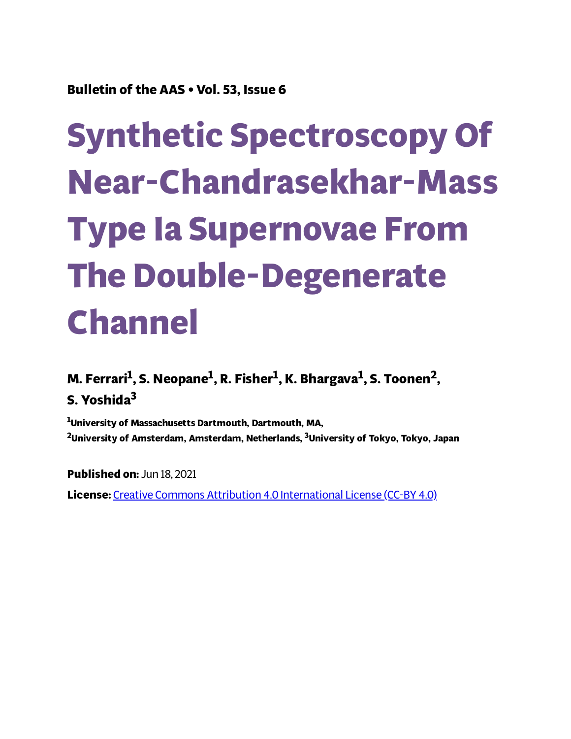**Bulletin of the AAS • Vol. 53, Issue 6**

# **Synthetic Spectroscopy Of Near-Chandrasekhar-Mass Type Ia Supernovae From The Double-Degenerate Channel**

**M. Ferrari 1 , S. Neopane 1 , R. Fisher 1 , K. Bhargava 1 , S. Toonen 2 , S. Yoshida 3**

**<sup>1</sup>University of Massachusetts Dartmouth, Dartmouth, MA, <sup>2</sup>University of Amsterdam, Amsterdam, Netherlands, <sup>3</sup>University of Tokyo, Tokyo, Japan**

**Published on:** Jun 18, 2021 **License:** Creative Commons Attribution 4.0 [International](https://creativecommons.org/licenses/by/4.0/) License (CC-BY 4.0)